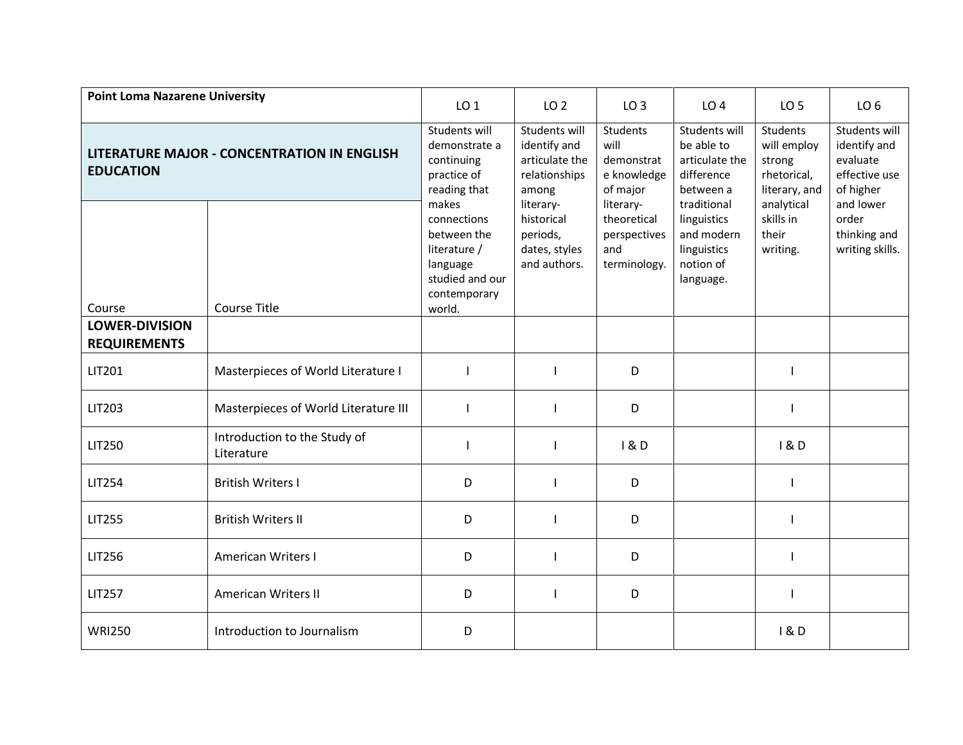| <b>Point Loma Nazarene University</b>                                  |                                            | LO <sub>1</sub>                                                                                              | LO <sub>2</sub>                                                           | LO <sub>3</sub>                                                 | LO <sub>4</sub>                                                                   | LO <sub>5</sub>                                                          | LO <sub>6</sub>                                                         |
|------------------------------------------------------------------------|--------------------------------------------|--------------------------------------------------------------------------------------------------------------|---------------------------------------------------------------------------|-----------------------------------------------------------------|-----------------------------------------------------------------------------------|--------------------------------------------------------------------------|-------------------------------------------------------------------------|
| <b>LITERATURE MAJOR - CONCENTRATION IN ENGLISH</b><br><b>EDUCATION</b> |                                            | Students will<br>demonstrate a<br>continuing<br>practice of<br>reading that                                  | Students will<br>identify and<br>articulate the<br>relationships<br>among | Students<br>will<br>demonstrat<br>e knowledge<br>of major       | Students will<br>be able to<br>articulate the<br>difference<br>between a          | <b>Students</b><br>will employ<br>strong<br>rhetorical,<br>literary, and | Students will<br>identify and<br>evaluate<br>effective use<br>of higher |
| Course                                                                 | <b>Course Title</b>                        | makes<br>connections<br>between the<br>literature /<br>language<br>studied and our<br>contemporary<br>world. | literary-<br>historical<br>periods,<br>dates, styles<br>and authors.      | literary-<br>theoretical<br>perspectives<br>and<br>terminology. | traditional<br>linguistics<br>and modern<br>linguistics<br>notion of<br>language. | analytical<br>skills in<br>their<br>writing.                             | and lower<br>order<br>thinking and<br>writing skills.                   |
| <b>LOWER-DIVISION</b><br><b>REQUIREMENTS</b>                           |                                            |                                                                                                              |                                                                           |                                                                 |                                                                                   |                                                                          |                                                                         |
| LIT201                                                                 | Masterpieces of World Literature I         |                                                                                                              |                                                                           | D                                                               |                                                                                   | ı                                                                        |                                                                         |
| LIT203                                                                 | Masterpieces of World Literature III       |                                                                                                              |                                                                           | D                                                               |                                                                                   |                                                                          |                                                                         |
| <b>LIT250</b>                                                          | Introduction to the Study of<br>Literature |                                                                                                              |                                                                           | 1&0                                                             |                                                                                   | 1&0                                                                      |                                                                         |
| <b>LIT254</b>                                                          | <b>British Writers I</b>                   | D                                                                                                            |                                                                           | D                                                               |                                                                                   |                                                                          |                                                                         |
| <b>LIT255</b>                                                          | <b>British Writers II</b>                  | D                                                                                                            |                                                                           | D                                                               |                                                                                   |                                                                          |                                                                         |
| <b>LIT256</b>                                                          | <b>American Writers I</b>                  | D                                                                                                            |                                                                           | D                                                               |                                                                                   |                                                                          |                                                                         |
| <b>LIT257</b>                                                          | <b>American Writers II</b>                 | D                                                                                                            |                                                                           | D                                                               |                                                                                   |                                                                          |                                                                         |
| <b>WRI250</b>                                                          | Introduction to Journalism                 | D                                                                                                            |                                                                           |                                                                 |                                                                                   | 18D                                                                      |                                                                         |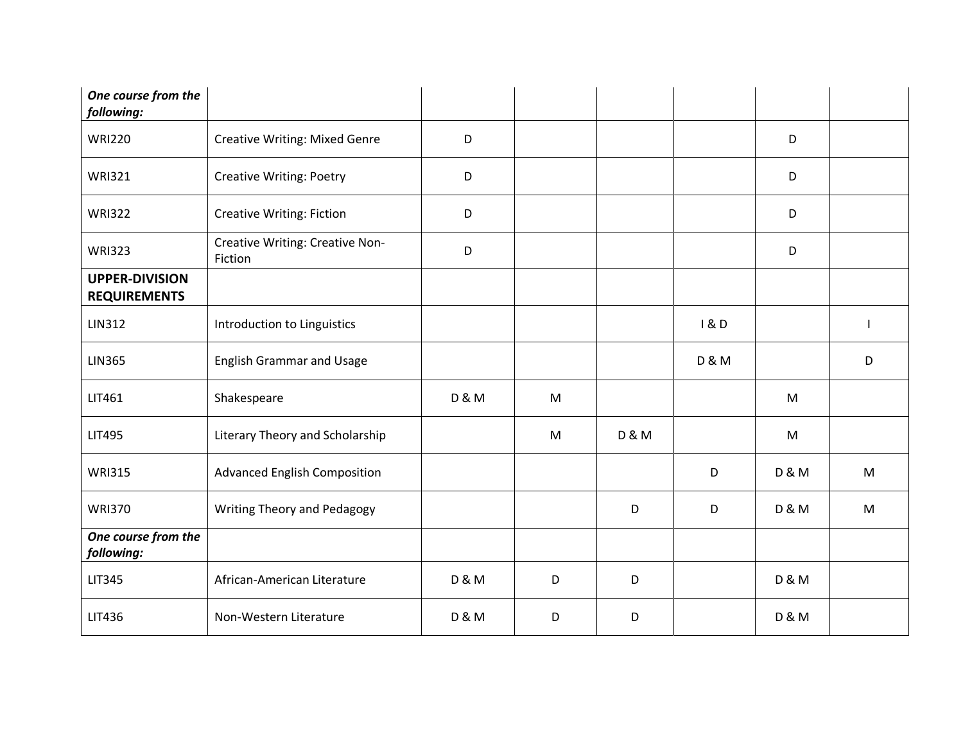| One course from the<br>following:            |                                            |                  |   |                  |                  |                  |   |
|----------------------------------------------|--------------------------------------------|------------------|---|------------------|------------------|------------------|---|
| <b>WRI220</b>                                | <b>Creative Writing: Mixed Genre</b>       | D                |   |                  |                  | D                |   |
| <b>WRI321</b>                                | <b>Creative Writing: Poetry</b>            | D                |   |                  |                  | D                |   |
| <b>WRI322</b>                                | <b>Creative Writing: Fiction</b>           | D                |   |                  |                  | D                |   |
| <b>WRI323</b>                                | Creative Writing: Creative Non-<br>Fiction | D                |   |                  |                  | D                |   |
| <b>UPPER-DIVISION</b><br><b>REQUIREMENTS</b> |                                            |                  |   |                  |                  |                  |   |
| <b>LIN312</b>                                | Introduction to Linguistics                |                  |   |                  | 1&0              |                  |   |
| <b>LIN365</b>                                | <b>English Grammar and Usage</b>           |                  |   |                  | <b>D &amp; M</b> |                  | D |
| LIT461                                       | Shakespeare                                | <b>D &amp; M</b> | M |                  |                  | M                |   |
| <b>LIT495</b>                                | Literary Theory and Scholarship            |                  | M | <b>D &amp; M</b> |                  | M                |   |
| <b>WRI315</b>                                | <b>Advanced English Composition</b>        |                  |   |                  | D                | <b>D &amp; M</b> | M |
| <b>WRI370</b>                                | Writing Theory and Pedagogy                |                  |   | D                | D                | <b>D &amp; M</b> | M |
| One course from the<br>following:            |                                            |                  |   |                  |                  |                  |   |
| <b>LIT345</b>                                | African-American Literature                | <b>D &amp; M</b> | D | D                |                  | <b>D &amp; M</b> |   |
| LIT436                                       | Non-Western Literature                     | <b>D &amp; M</b> | D | D                |                  | <b>D &amp; M</b> |   |